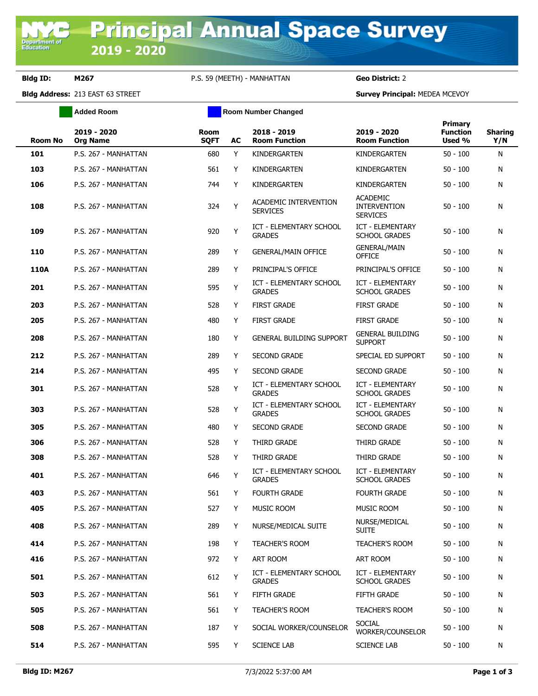**Department of**<br>Education

## **Bldg ID: M267** P.S. 59 (MEETH) - MANHATTAN **Geo District:** 2

**Bldg Address:** 213 EAST 63 STREET **Survey Principal:** MEDEA MCEVOY

|                | <b>Added Room</b>              | <b>Room Number Changed</b> |    |                                                 |                                                           |                                      |                       |
|----------------|--------------------------------|----------------------------|----|-------------------------------------------------|-----------------------------------------------------------|--------------------------------------|-----------------------|
| <b>Room No</b> | 2019 - 2020<br><b>Org Name</b> | <b>Room</b><br><b>SQFT</b> | AC | 2018 - 2019<br><b>Room Function</b>             | 2019 - 2020<br><b>Room Function</b>                       | Primary<br><b>Function</b><br>Used % | <b>Sharing</b><br>Y/N |
| 101            | P.S. 267 - MANHATTAN           | 680                        | Y  | KINDERGARTEN                                    | KINDERGARTEN                                              | $50 - 100$                           | N                     |
| 103            | P.S. 267 - MANHATTAN           | 561                        | Y  | KINDERGARTEN                                    | KINDERGARTEN                                              | $50 - 100$                           | N                     |
| 106            | P.S. 267 - MANHATTAN           | 744                        | Y  | KINDERGARTEN                                    | KINDERGARTEN                                              | $50 - 100$                           | N                     |
| 108            | P.S. 267 - MANHATTAN           | 324                        | Y  | ACADEMIC INTERVENTION<br><b>SERVICES</b>        | <b>ACADEMIC</b><br><b>INTERVENTION</b><br><b>SERVICES</b> | $50 - 100$                           | N                     |
| 109            | P.S. 267 - MANHATTAN           | 920                        | Y  | <b>ICT - ELEMENTARY SCHOOL</b><br><b>GRADES</b> | ICT - ELEMENTARY<br><b>SCHOOL GRADES</b>                  | 50 - 100                             | N                     |
| 110            | P.S. 267 - MANHATTAN           | 289                        | Y  | <b>GENERAL/MAIN OFFICE</b>                      | <b>GENERAL/MAIN</b><br><b>OFFICE</b>                      | $50 - 100$                           | N                     |
| 110A           | P.S. 267 - MANHATTAN           | 289                        | Y  | PRINCIPAL'S OFFICE                              | PRINCIPAL'S OFFICE                                        | $50 - 100$                           | N                     |
| 201            | P.S. 267 - MANHATTAN           | 595                        | Y  | ICT - ELEMENTARY SCHOOL<br><b>GRADES</b>        | <b>ICT - ELEMENTARY</b><br><b>SCHOOL GRADES</b>           | 50 - 100                             | N                     |
| 203            | P.S. 267 - MANHATTAN           | 528                        | Y  | <b>FIRST GRADE</b>                              | <b>FIRST GRADE</b>                                        | $50 - 100$                           | N                     |
| 205            | P.S. 267 - MANHATTAN           | 480                        | Y  | <b>FIRST GRADE</b>                              | <b>FIRST GRADE</b>                                        | $50 - 100$                           | N                     |
| 208            | P.S. 267 - MANHATTAN           | 180                        | Y  | <b>GENERAL BUILDING SUPPORT</b>                 | <b>GENERAL BUILDING</b><br><b>SUPPORT</b>                 | $50 - 100$                           | N                     |
| 212            | P.S. 267 - MANHATTAN           | 289                        | Y  | <b>SECOND GRADE</b>                             | SPECIAL ED SUPPORT                                        | $50 - 100$                           | N                     |
| 214            | P.S. 267 - MANHATTAN           | 495                        | Y  | <b>SECOND GRADE</b>                             | <b>SECOND GRADE</b>                                       | $50 - 100$                           | N                     |
| 301            | P.S. 267 - MANHATTAN           | 528                        | Y  | <b>ICT - ELEMENTARY SCHOOL</b><br><b>GRADES</b> | ICT - ELEMENTARY<br><b>SCHOOL GRADES</b>                  | $50 - 100$                           | N                     |
| 303            | P.S. 267 - MANHATTAN           | 528                        | Y  | ICT - ELEMENTARY SCHOOL<br><b>GRADES</b>        | ICT - ELEMENTARY<br><b>SCHOOL GRADES</b>                  | $50 - 100$                           | N                     |
| 305            | P.S. 267 - MANHATTAN           | 480                        | Y  | <b>SECOND GRADE</b>                             | <b>SECOND GRADE</b>                                       | $50 - 100$                           | N                     |
| 306            | P.S. 267 - MANHATTAN           | 528                        | Y  | THIRD GRADE                                     | THIRD GRADE                                               | $50 - 100$                           | N                     |
| 308            | P.S. 267 - MANHATTAN           | 528                        | Y  | THIRD GRADE                                     | THIRD GRADE                                               | $50 - 100$                           | N                     |
| 401            | P.S. 267 - MANHATTAN           | 646                        | Y  | <b>ICT - ELEMENTARY SCHOOL</b><br><b>GRADES</b> | <b>ICT - ELEMENTARY</b><br><b>SCHOOL GRADES</b>           | $50 - 100$                           | N                     |
| 403            | P.S. 267 - MANHATTAN           | 561                        | Y  | <b>FOURTH GRADE</b>                             | <b>FOURTH GRADE</b>                                       | $50 - 100$                           | N                     |
| 405            | P.S. 267 - MANHATTAN           | 527                        | Y  | MUSIC ROOM                                      | <b>MUSIC ROOM</b>                                         | $50 - 100$                           | N                     |
| 408            | P.S. 267 - MANHATTAN           | 289                        | Y  | NURSE/MEDICAL SUITE                             | NURSE/MEDICAL<br><b>SUITE</b>                             | $50 - 100$                           | N                     |
| 414            | P.S. 267 - MANHATTAN           | 198                        | Y  | <b>TEACHER'S ROOM</b>                           | <b>TEACHER'S ROOM</b>                                     | $50 - 100$                           | N                     |
| 416            | P.S. 267 - MANHATTAN           | 972                        | Y  | ART ROOM                                        | ART ROOM                                                  | $50 - 100$                           | N                     |
| 501            | P.S. 267 - MANHATTAN           | 612                        | Y  | ICT - ELEMENTARY SCHOOL<br><b>GRADES</b>        | <b>ICT - ELEMENTARY</b><br>SCHOOL GRADES                  | $50 - 100$                           | N                     |
| 503            | P.S. 267 - MANHATTAN           | 561                        | Y  | FIFTH GRADE                                     | FIFTH GRADE                                               | $50 - 100$                           | N                     |
| 505            | P.S. 267 - MANHATTAN           | 561                        | Y  | TEACHER'S ROOM                                  | <b>TEACHER'S ROOM</b>                                     | $50 - 100$                           | N                     |
| 508            | P.S. 267 - MANHATTAN           | 187                        | Y  | SOCIAL WORKER/COUNSELOR                         | <b>SOCIAL</b><br>WORKER/COUNSELOR                         | $50 - 100$                           | N                     |
| 514            | P.S. 267 - MANHATTAN           | 595                        | Y  | <b>SCIENCE LAB</b>                              | <b>SCIENCE LAB</b>                                        | $50 - 100$                           | N                     |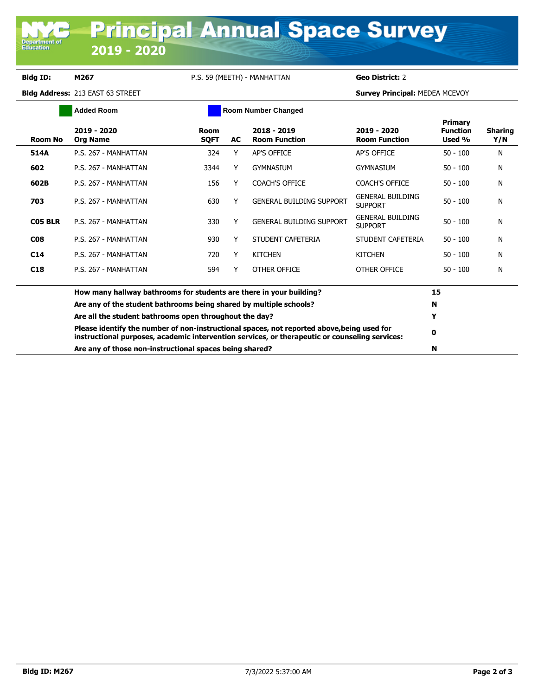**Department of**<br>Education

## **Bldg ID: M267** P.S. 59 (MEETH) - MANHATTAN **Geo District:** 2

**Bldg Address:** 213 EAST 63 STREET **Survey Principal:** MEDEA MCEVOY

| <b>Added Room</b> |                                                                                                                                                                                              | <b>Room Number Changed</b> |    |                                     |                                           |                                      |                       |
|-------------------|----------------------------------------------------------------------------------------------------------------------------------------------------------------------------------------------|----------------------------|----|-------------------------------------|-------------------------------------------|--------------------------------------|-----------------------|
| <b>Room No</b>    | 2019 - 2020<br><b>Org Name</b>                                                                                                                                                               | Room<br><b>SQFT</b>        | AC | 2018 - 2019<br><b>Room Function</b> | 2019 - 2020<br><b>Room Function</b>       | Primary<br><b>Function</b><br>Used % | <b>Sharing</b><br>Y/N |
| 514A              | P.S. 267 - MANHATTAN                                                                                                                                                                         | 324                        | Y  | <b>AP'S OFFICE</b>                  | <b>AP'S OFFICE</b>                        | $50 - 100$                           | N                     |
| 602               | P.S. 267 - MANHATTAN                                                                                                                                                                         | 3344                       | Y  | <b>GYMNASIUM</b>                    | <b>GYMNASIUM</b>                          | $50 - 100$                           | N                     |
| 602B              | P.S. 267 - MANHATTAN                                                                                                                                                                         | 156                        | Y  | <b>COACH'S OFFICE</b>               | <b>COACH'S OFFICE</b>                     | $50 - 100$                           | N                     |
| 703               | P.S. 267 - MANHATTAN                                                                                                                                                                         | 630                        | Y  | <b>GENERAL BUILDING SUPPORT</b>     | <b>GENERAL BUILDING</b><br><b>SUPPORT</b> | $50 - 100$                           | N                     |
| C05 BLR           | P.S. 267 - MANHATTAN                                                                                                                                                                         | 330                        | Y  | <b>GENERAL BUILDING SUPPORT</b>     | <b>GENERAL BUILDING</b><br><b>SUPPORT</b> | $50 - 100$                           | N                     |
| <b>CO8</b>        | P.S. 267 - MANHATTAN                                                                                                                                                                         | 930                        | Y  | STUDENT CAFETERIA                   | STUDENT CAFETERIA                         | $50 - 100$                           | N                     |
| C14               | P.S. 267 - MANHATTAN                                                                                                                                                                         | 720                        | Y  | <b>KITCHEN</b>                      | <b>KITCHEN</b>                            | $50 - 100$                           | N                     |
| C <sub>18</sub>   | P.S. 267 - MANHATTAN                                                                                                                                                                         | 594                        | Y  | OTHER OFFICE                        | OTHER OFFICE                              | $50 - 100$                           | N                     |
|                   | How many hallway bathrooms for students are there in your building?                                                                                                                          |                            |    |                                     |                                           |                                      |                       |
|                   | Are any of the student bathrooms being shared by multiple schools?                                                                                                                           |                            |    |                                     |                                           | N                                    |                       |
|                   | Are all the student bathrooms open throughout the day?                                                                                                                                       |                            | Y  |                                     |                                           |                                      |                       |
|                   | Please identify the number of non-instructional spaces, not reported above, being used for<br>instructional purposes, academic intervention services, or therapeutic or counseling services: |                            | 0  |                                     |                                           |                                      |                       |
|                   | Are any of those non-instructional spaces being shared?                                                                                                                                      |                            |    |                                     |                                           |                                      |                       |